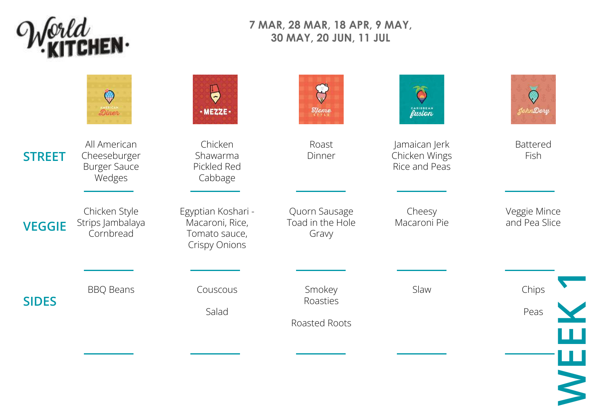

## **7 MAR, 28 MAR, 18 APR, 9 MAY, 30 MAY, 20 JUN, 11 JUL**

|               | $\mathbb{Q}$<br>Diner                                         | $\blacktriangleright$<br>$\cdot$ MEZZE $\cdot$                                 | $\bigcup$<br>$\mathcal{E}_{\text{lower}}$  | ۳<br><b>CARIBBEAN</b>                           | JohnDory                      |
|---------------|---------------------------------------------------------------|--------------------------------------------------------------------------------|--------------------------------------------|-------------------------------------------------|-------------------------------|
| <b>STREET</b> | All American<br>Cheeseburger<br><b>Burger Sauce</b><br>Wedges | Chicken<br>Shawarma<br>Pickled Red<br>Cabbage                                  | Roast<br>Dinner                            | Jamaican Jerk<br>Chicken Wings<br>Rice and Peas | <b>Battered</b><br>Fish       |
| <b>VEGGIE</b> | Chicken Style<br>Strips Jambalaya<br>Cornbread                | Egyptian Koshari -<br>Macaroni, Rice,<br>Tomato sauce,<br><b>Crispy Onions</b> | Quorn Sausage<br>Toad in the Hole<br>Gravy | Cheesy<br>Macaroni Pie                          | Veggie Mince<br>and Pea Slice |
| <b>SIDES</b>  | <b>BBQ Beans</b>                                              | Couscous<br>Salad                                                              | Smokey<br>Roasties<br>Roasted Roots        | Slaw                                            | Chips<br>Peas<br>ш            |
|               |                                                               |                                                                                |                                            |                                                 | WE                            |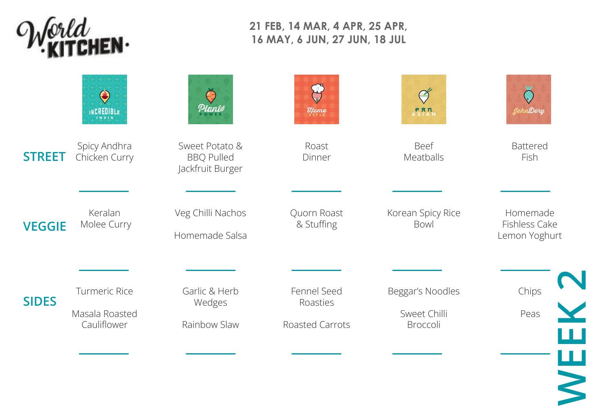

## **21 FEB, 14 MAR, 4 APR, 25 APR, 16 MAY, 6 JUN, 27 JUN, 18 JUL**

|               | $\bigodot$<br>INCREDIBLE                              | Planie                                                  | $\partial$ strate                          | <b>PRN</b>                                   | JohnDory                                   |
|---------------|-------------------------------------------------------|---------------------------------------------------------|--------------------------------------------|----------------------------------------------|--------------------------------------------|
| <b>STREET</b> | Spicy Andhra<br>Chicken Curry                         | Sweet Potato &<br><b>BBQ Pulled</b><br>Jackfruit Burger | Roast<br>Dinner                            | Beef<br>Meatballs                            | <b>Battered</b><br>Fish                    |
| <b>VEGGIE</b> | Keralan<br>Molee Curry                                | Veg Chilli Nachos<br>Homemade Salsa                     | Quorn Roast<br>& Stuffing                  | Korean Spicy Rice<br>Bowl                    | Homemade<br>Fishless Cake<br>Lemon Yoghurt |
| <b>SIDES</b>  | <b>Turmeric Rice</b><br>Masala Roasted<br>Cauliflower | Garlic & Herb<br>Wedges<br>Rainbow Slaw                 | Fennel Seed<br>Roasties<br>Roasted Carrots | Beggar's Noodles<br>Sweet Chilli<br>Broccoli | Chips<br>Peas                              |
|               |                                                       |                                                         |                                            |                                              |                                            |